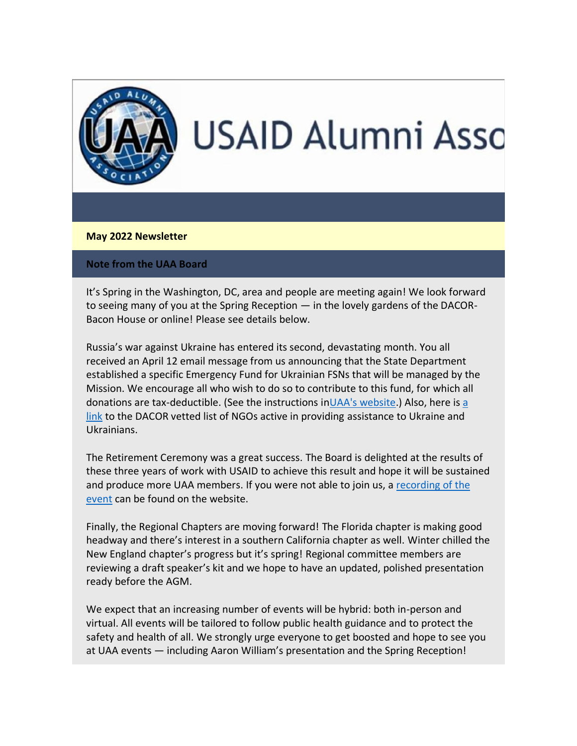

## **May 2022 Newsletter**

## **Note from the UAA Board**

It's Spring in the Washington, DC, area and people are meeting again! We look forward to seeing many of you at the Spring Reception — in the lovely gardens of the DACOR-Bacon House or online! Please see details below.

Russia's war against Ukraine has entered its second, devastating month. You all received an April 12 email message from us announcing that the State Department established a specific Emergency Fund for Ukrainian FSNs that will be managed by the Mission. We encourage all who wish to do so to contribute to this fund, for which all donations are tax-deductible. (See the instructions i[nUAA's website.](https://nam12.safelinks.protection.outlook.com/?url=https%3A%2F%2Fusaidalumni.org%2F&data=05%7C01%7C%7Cf4f90373a64740c6813008da2b8ee87f%7C84df9e7fe9f640afb435aaaaaaaaaaaa%7C1%7C0%7C637870190039086446%7CUnknown%7CTWFpbGZsb3d8eyJWIjoiMC4wLjAwMDAiLCJQIjoiV2luMzIiLCJBTiI6Ik1haWwiLCJXVCI6Mn0%3D%7C3000%7C%7C%7C&sdata=xLfpa4atAwEKuhTSlZopvqqnm8aHpoS4%2FQBYQEdtQKI%3D&reserved=0)) Also, here is [a](https://nam12.safelinks.protection.outlook.com/?url=https%3A%2F%2Fwww.dacorbacon.org%2Fdocs%2FWays_to_Support_the_People_of_Ukraine_04.07.22.pdf&data=05%7C01%7C%7Cf4f90373a64740c6813008da2b8ee87f%7C84df9e7fe9f640afb435aaaaaaaaaaaa%7C1%7C0%7C637870190039086446%7CUnknown%7CTWFpbGZsb3d8eyJWIjoiMC4wLjAwMDAiLCJQIjoiV2luMzIiLCJBTiI6Ik1haWwiLCJXVCI6Mn0%3D%7C3000%7C%7C%7C&sdata=%2F8sa8EIpl%2B%2Fku66TfEoEKlo5DD%2BwzeD5EGjkn1JY%2BZ4%3D&reserved=0)  [link](https://nam12.safelinks.protection.outlook.com/?url=https%3A%2F%2Fwww.dacorbacon.org%2Fdocs%2FWays_to_Support_the_People_of_Ukraine_04.07.22.pdf&data=05%7C01%7C%7Cf4f90373a64740c6813008da2b8ee87f%7C84df9e7fe9f640afb435aaaaaaaaaaaa%7C1%7C0%7C637870190039086446%7CUnknown%7CTWFpbGZsb3d8eyJWIjoiMC4wLjAwMDAiLCJQIjoiV2luMzIiLCJBTiI6Ik1haWwiLCJXVCI6Mn0%3D%7C3000%7C%7C%7C&sdata=%2F8sa8EIpl%2B%2Fku66TfEoEKlo5DD%2BwzeD5EGjkn1JY%2BZ4%3D&reserved=0) to the DACOR vetted list of NGOs active in providing assistance to Ukraine and Ukrainians.

The Retirement Ceremony was a great success. The Board is delighted at the results of these three years of work with USAID to achieve this result and hope it will be sustained and produce more UAA members. If you were not able to join us, a recording of the [event](https://nam12.safelinks.protection.outlook.com/?url=https%3A%2F%2Fwww.youtube.com%2Fwatch%3Fv%3Dyyu8GPTfwX8&data=05%7C01%7C%7Cf4f90373a64740c6813008da2b8ee87f%7C84df9e7fe9f640afb435aaaaaaaaaaaa%7C1%7C0%7C637870190039086446%7CUnknown%7CTWFpbGZsb3d8eyJWIjoiMC4wLjAwMDAiLCJQIjoiV2luMzIiLCJBTiI6Ik1haWwiLCJXVCI6Mn0%3D%7C3000%7C%7C%7C&sdata=hxylLe%2Bm%2BGd6411HYNVdJhLB7loeMzgHCyVQyKhcQCY%3D&reserved=0) can be found on the website.

Finally, the Regional Chapters are moving forward! The Florida chapter is making good headway and there's interest in a southern California chapter as well. Winter chilled the New England chapter's progress but it's spring! Regional committee members are reviewing a draft speaker's kit and we hope to have an updated, polished presentation ready before the AGM.

We expect that an increasing number of events will be hybrid: both in-person and virtual. All events will be tailored to follow public health guidance and to protect the safety and health of all. We strongly urge everyone to get boosted and hope to see you at UAA events — including Aaron William's presentation and the Spring Reception!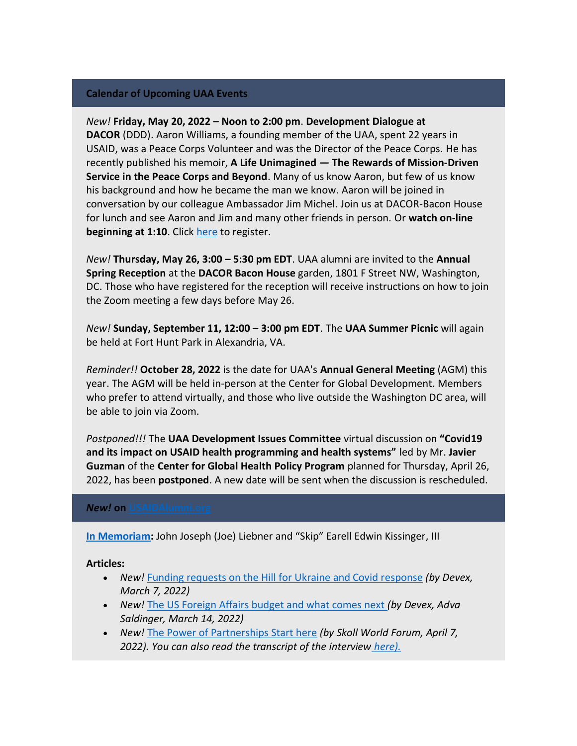# **Calendar of Upcoming UAA Events**

## *New!* **Friday, May 20, 2022 – Noon to 2:00 pm**. **Development Dialogue at**

**DACOR** (DDD). Aaron Williams, a founding member of the UAA, spent 22 years in USAID, was a Peace Corps Volunteer and was the Director of the Peace Corps. He has recently published his memoir, **A Life Unimagined — The Rewards of Mission-Driven Service in the Peace Corps and Beyond**. Many of us know Aaron, but few of us know his background and how he became the man we know. Aaron will be joined in conversation by our colleague Ambassador Jim Michel. Join us at DACOR-Bacon House for lunch and see Aaron and Jim and many other friends in person. Or **watch on-line beginning at 1:10**. Click [here](https://nam12.safelinks.protection.outlook.com/?url=https%3A%2F%2Fmms.dacorbacon.org%2FCalendar%2Fmoreinfo.php%3Feventid%3D37926&data=05%7C01%7C%7Cf4f90373a64740c6813008da2b8ee87f%7C84df9e7fe9f640afb435aaaaaaaaaaaa%7C1%7C0%7C637870190039086446%7CUnknown%7CTWFpbGZsb3d8eyJWIjoiMC4wLjAwMDAiLCJQIjoiV2luMzIiLCJBTiI6Ik1haWwiLCJXVCI6Mn0%3D%7C3000%7C%7C%7C&sdata=IH0PHJfhJdB0nPqXzESK%2F4huueu8RH3zScwKHYp0o%2FI%3D&reserved=0) to register.

*New!* **Thursday, May 26, 3:00 – 5:30 pm EDT**. UAA alumni are invited to the **Annual Spring Reception** at the **DACOR Bacon House** garden, 1801 F Street NW, Washington, DC. Those who have registered for the reception will receive instructions on how to join the Zoom meeting a few days before May 26.

*New!* **Sunday, September 11, 12:00 – 3:00 pm EDT**. The **UAA Summer Picnic** will again be held at Fort Hunt Park in Alexandria, VA.

*Reminder!!* **October 28, 2022** is the date for UAA's **Annual General Meeting** (AGM) this year. The AGM will be held in-person at the Center for Global Development. Members who prefer to attend virtually, and those who live outside the Washington DC area, will be able to join via Zoom.

*Postponed!!!* The **UAA Development Issues Committee** virtual discussion on **"Covid19 and its impact on USAID health programming and health systems"** led by Mr. **Javier Guzman** of the **Center for Global Health Policy Program** planned for Thursday, April 26, 2022, has been **postponed**. A new date will be sent when the discussion is rescheduled.

#### **New! on USAIDAlumni.**

**[In Memoriam:](https://nam12.safelinks.protection.outlook.com/?url=https%3A%2F%2Fusaidalumni.org%2Ftribute%2F&data=05%7C01%7C%7Cf4f90373a64740c6813008da2b8ee87f%7C84df9e7fe9f640afb435aaaaaaaaaaaa%7C1%7C0%7C637870190039086446%7CUnknown%7CTWFpbGZsb3d8eyJWIjoiMC4wLjAwMDAiLCJQIjoiV2luMzIiLCJBTiI6Ik1haWwiLCJXVCI6Mn0%3D%7C3000%7C%7C%7C&sdata=8JyoChU%2F1yxVjbmdMTbV4hMeC%2BEdtNGQPIpbFHE1FLY%3D&reserved=0)** John Joseph (Joe) Liebner and "Skip" Earell Edwin Kissinger, III

## **Articles:**

- *New!* [Funding requests on the Hill for Ukraine and Covid response](https://nam12.safelinks.protection.outlook.com/?url=https%3A%2F%2Fwww.devex.com%2Fnews%2Fdevex-newswire-ukraine-funding-in-the-spotlight-102793&data=05%7C01%7C%7Cf4f90373a64740c6813008da2b8ee87f%7C84df9e7fe9f640afb435aaaaaaaaaaaa%7C1%7C0%7C637870190039086446%7CUnknown%7CTWFpbGZsb3d8eyJWIjoiMC4wLjAwMDAiLCJQIjoiV2luMzIiLCJBTiI6Ik1haWwiLCJXVCI6Mn0%3D%7C3000%7C%7C%7C&sdata=bLa8OjSqtp2yPLGrsxHQv9%2Bkg7WGKj6WUeGLz%2BWT4OU%3D&reserved=0) *(by Devex, March 7, 2022)*
- *New!* [The US Foreign Affairs budget and what comes next](https://nam12.safelinks.protection.outlook.com/?url=https%3A%2F%2Fwww.devex.com%2Fnews%2Fthe-us-foreign-affairs-budget-and-what-comes-next-102836&data=05%7C01%7C%7Cf4f90373a64740c6813008da2b8ee87f%7C84df9e7fe9f640afb435aaaaaaaaaaaa%7C1%7C0%7C637870190039086446%7CUnknown%7CTWFpbGZsb3d8eyJWIjoiMC4wLjAwMDAiLCJQIjoiV2luMzIiLCJBTiI6Ik1haWwiLCJXVCI6Mn0%3D%7C3000%7C%7C%7C&sdata=3oT0eeFXLggjcGLi9qvlvkiHCwkgV6UQrVniYu1SElQ%3D&reserved=0) *(by Devex, Adva Saldinger, March 14, 2022)*
- *New!* [The Power of Partnerships Start here](https://nam12.safelinks.protection.outlook.com/?url=https%3A%2F%2Fwww.youtube.com%2Fwatch%3Fv%3DciVwTufdlUE&data=05%7C01%7C%7Cf4f90373a64740c6813008da2b8ee87f%7C84df9e7fe9f640afb435aaaaaaaaaaaa%7C1%7C0%7C637870190039086446%7CUnknown%7CTWFpbGZsb3d8eyJWIjoiMC4wLjAwMDAiLCJQIjoiV2luMzIiLCJBTiI6Ik1haWwiLCJXVCI6Mn0%3D%7C3000%7C%7C%7C&sdata=1O1%2Bzuq%2BJOMbXiDG66u7oH707hduvqnJsqiAPCBKxeU%3D&reserved=0) *(by Skoll World Forum, April 7, 2022). You can also read the transcript of the interview [here\).](https://nam12.safelinks.protection.outlook.com/?url=https%3A%2F%2Fwww.usaid.gov%2Fnews-information%2Fspeeches%2Fmar-29-2022-administrator-samantha-power-scott-simon-skoll-foundation-2022-world-forum%3Futm_medium%3Demail%26utm_source%3Dgovdelivery&data=05%7C01%7C%7Cf4f90373a64740c6813008da2b8ee87f%7C84df9e7fe9f640afb435aaaaaaaaaaaa%7C1%7C0%7C637870190039086446%7CUnknown%7CTWFpbGZsb3d8eyJWIjoiMC4wLjAwMDAiLCJQIjoiV2luMzIiLCJBTiI6Ik1haWwiLCJXVCI6Mn0%3D%7C3000%7C%7C%7C&sdata=G%2BA3T0F14jl1tic4YsaBNSsIKPuZI0p0wZ%2Blw8V9tIk%3D&reserved=0)*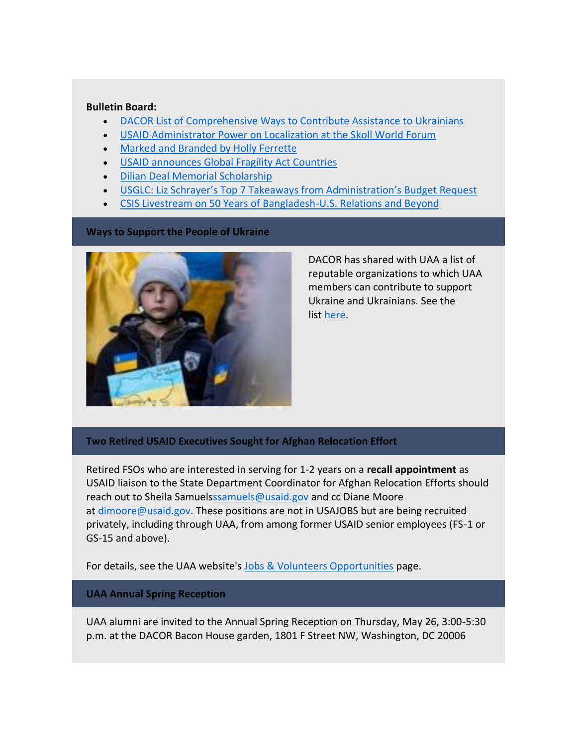### **Bulletin Board:**

- [DACOR List of Comprehensive Ways to Contribute Assistance to Ukrainians](https://nam12.safelinks.protection.outlook.com/?url=http%3A%2F%2Fwww.dacorbacon.org%2Fdocs%2FWays_to_Support_the_People_of_Ukraine_04.07.22.pdf&data=05%7C01%7C%7Cf4f90373a64740c6813008da2b8ee87f%7C84df9e7fe9f640afb435aaaaaaaaaaaa%7C1%7C0%7C637870190039086446%7CUnknown%7CTWFpbGZsb3d8eyJWIjoiMC4wLjAwMDAiLCJQIjoiV2luMzIiLCJBTiI6Ik1haWwiLCJXVCI6Mn0%3D%7C3000%7C%7C%7C&sdata=YN30VlpCxF78B5E1xFj%2BDTMAe5i1JTZWlJCqabtp3aA%3D&reserved=0)
- [USAID Administrator Power on Localization at the Skoll World Forum](https://nam12.safelinks.protection.outlook.com/?url=https%3A%2F%2Fusaidalumni.org%2Fwp-content%2Fuploads%2F2022%2F04%2FUSAID-Administrator-on-Localization-at-Skoll.pdf&data=05%7C01%7C%7Cf4f90373a64740c6813008da2b8ee87f%7C84df9e7fe9f640afb435aaaaaaaaaaaa%7C1%7C0%7C637870190039086446%7CUnknown%7CTWFpbGZsb3d8eyJWIjoiMC4wLjAwMDAiLCJQIjoiV2luMzIiLCJBTiI6Ik1haWwiLCJXVCI6Mn0%3D%7C3000%7C%7C%7C&sdata=LZRKqGZ8uY9sbF3UfeKESNoSS8xWSTgWr%2BBfxhCL1Lw%3D&reserved=0)
- [Marked and Branded by Holly Ferrette](https://nam12.safelinks.protection.outlook.com/?url=https%3A%2F%2Fusaidalumni.org%2Fwp-content%2Fuploads%2F2022%2F04%2FMarket-and-Branded-1.pdf&data=05%7C01%7C%7Cf4f90373a64740c6813008da2b8ee87f%7C84df9e7fe9f640afb435aaaaaaaaaaaa%7C1%7C0%7C637870190039086446%7CUnknown%7CTWFpbGZsb3d8eyJWIjoiMC4wLjAwMDAiLCJQIjoiV2luMzIiLCJBTiI6Ik1haWwiLCJXVCI6Mn0%3D%7C3000%7C%7C%7C&sdata=mgjbvTjrGvUuolsGDV6A%2FALEhMu0EA5g2jsoLqjODhU%3D&reserved=0)
- [USAID announces Global Fragility Act Countries](https://nam12.safelinks.protection.outlook.com/?url=https%3A%2F%2Fusaidalumni.org%2Fwp-content%2Fuploads%2F2022%2F04%2FAID-Announces-Global-Fragility-Act-Countries.pdf&data=05%7C01%7C%7Cf4f90373a64740c6813008da2b8ee87f%7C84df9e7fe9f640afb435aaaaaaaaaaaa%7C1%7C0%7C637870190039086446%7CUnknown%7CTWFpbGZsb3d8eyJWIjoiMC4wLjAwMDAiLCJQIjoiV2luMzIiLCJBTiI6Ik1haWwiLCJXVCI6Mn0%3D%7C3000%7C%7C%7C&sdata=Wf%2BKLsvmOFV8F5HLDufejmRD9p5vcpzgXT0L02QyAEM%3D&reserved=0)
- [Dilian Deal Memorial Scholarship](https://nam12.safelinks.protection.outlook.com/?url=https%3A%2F%2Fusaidalumni.org%2Fwp-content%2Fuploads%2F2022%2F04%2FDilian-Deal-Scholarship-2.pdf&data=05%7C01%7C%7Cf4f90373a64740c6813008da2b8ee87f%7C84df9e7fe9f640afb435aaaaaaaaaaaa%7C1%7C0%7C637870190039086446%7CUnknown%7CTWFpbGZsb3d8eyJWIjoiMC4wLjAwMDAiLCJQIjoiV2luMzIiLCJBTiI6Ik1haWwiLCJXVCI6Mn0%3D%7C3000%7C%7C%7C&sdata=vE%2FBxql992HzZy2j%2B1g2VJ4wk6LOy8Q%2F6l1BXLyTvU4%3D&reserved=0)
- USGLC: [Liz Schrayer's Top 7 Takeaways from Administration's Budget Request](https://nam12.safelinks.protection.outlook.com/?url=https%3A%2F%2Fusaidalumni.org%2Fwp-content%2Fuploads%2F2022%2F03%2FTop7Takeaways-AID-Budget-2.pdf&data=05%7C01%7C%7Cf4f90373a64740c6813008da2b8ee87f%7C84df9e7fe9f640afb435aaaaaaaaaaaa%7C1%7C0%7C637870190039086446%7CUnknown%7CTWFpbGZsb3d8eyJWIjoiMC4wLjAwMDAiLCJQIjoiV2luMzIiLCJBTiI6Ik1haWwiLCJXVCI6Mn0%3D%7C3000%7C%7C%7C&sdata=MMoUCKPLNTaMoeANujmdP35OhEzRuXB96%2BX%2BywBqqeI%3D&reserved=0)
- [CSIS Livestream on 50 Years of Bangladesh-U.S. Relations and Beyond](https://nam12.safelinks.protection.outlook.com/?url=https%3A%2F%2Fusaidalumni.org%2Fwp-content%2Fuploads%2F2022%2F03%2F50YearsBangladeshUS.pdf&data=05%7C01%7C%7Cf4f90373a64740c6813008da2b8ee87f%7C84df9e7fe9f640afb435aaaaaaaaaaaa%7C1%7C0%7C637870190039086446%7CUnknown%7CTWFpbGZsb3d8eyJWIjoiMC4wLjAwMDAiLCJQIjoiV2luMzIiLCJBTiI6Ik1haWwiLCJXVCI6Mn0%3D%7C3000%7C%7C%7C&sdata=VWyM3dWmmskyDmjbvQ76NeoZTlD4fyZH26XhZKf72Ww%3D&reserved=0)

## **Ways to Support the People of Ukraine**



DACOR has shared with UAA a list of reputable organizations to which UAA members can contribute to support Ukraine and Ukrainians. See the list [here.](https://nam12.safelinks.protection.outlook.com/?url=http%3A%2F%2Fwww.dacorbacon.org%2Fdocs%2FWays_to_Support_the_People_of_Ukraine_04.07.22.pdf&data=05%7C01%7C%7Cf4f90373a64740c6813008da2b8ee87f%7C84df9e7fe9f640afb435aaaaaaaaaaaa%7C1%7C0%7C637870190039086446%7CUnknown%7CTWFpbGZsb3d8eyJWIjoiMC4wLjAwMDAiLCJQIjoiV2luMzIiLCJBTiI6Ik1haWwiLCJXVCI6Mn0%3D%7C3000%7C%7C%7C&sdata=YN30VlpCxF78B5E1xFj%2BDTMAe5i1JTZWlJCqabtp3aA%3D&reserved=0)

## **Two Retired USAID Executives Sought for Afghan Relocation Effort**

Retired FSOs who are interested in serving for 1-2 years on a **recall appointment** as USAID liaison to the State Department Coordinator for Afghan Relocation Efforts should reach out to Sheila Samuel[sssamuels@usaid.gov](mailto:ssamuels@usaid.gov) and cc Diane Moore at [dimoore@usaid.gov.](mailto:dimoore@usaid.gov) These positions are not in USAJOBS but are being recruited privately, including through UAA, from among former USAID senior employees (FS-1 or GS-15 and above).

For details, see the UAA website's [Jobs & Volunteers Opportunities](https://nam12.safelinks.protection.outlook.com/?url=https%3A%2F%2Fusaidalumni.org%2Fget-involved%2Fjob-volunteer-opportunities%2F&data=05%7C01%7C%7Cf4f90373a64740c6813008da2b8ee87f%7C84df9e7fe9f640afb435aaaaaaaaaaaa%7C1%7C0%7C637870190039086446%7CUnknown%7CTWFpbGZsb3d8eyJWIjoiMC4wLjAwMDAiLCJQIjoiV2luMzIiLCJBTiI6Ik1haWwiLCJXVCI6Mn0%3D%7C3000%7C%7C%7C&sdata=HWoUxySCjf4Yoc%2F6fajXZvmCQi2Usv%2BQS6x918gNoBc%3D&reserved=0) page.

#### **UAA Annual Spring Reception**

UAA alumni are invited to the Annual Spring Reception on Thursday, May 26, 3:00-5:30 p.m. at the DACOR Bacon House garden, 1801 F Street NW, Washington, DC 20006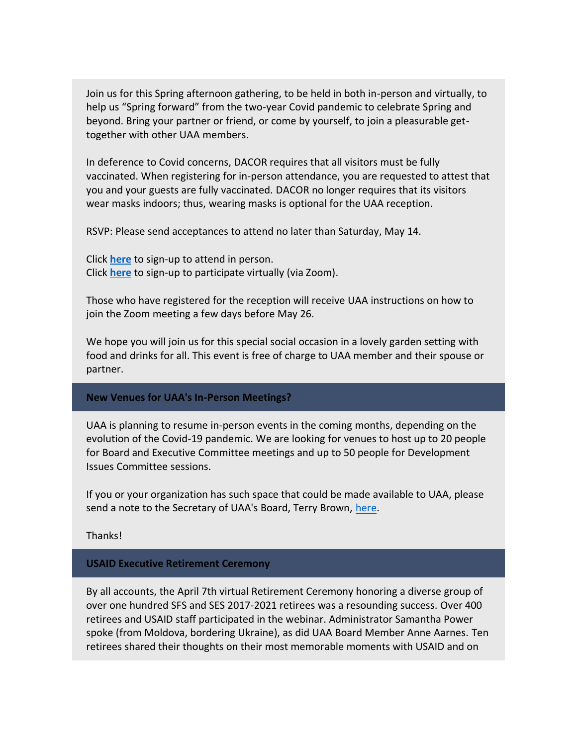Join us for this Spring afternoon gathering, to be held in both in-person and virtually, to help us "Spring forward" from the two-year Covid pandemic to celebrate Spring and beyond. Bring your partner or friend, or come by yourself, to join a pleasurable gettogether with other UAA members.

In deference to Covid concerns, DACOR requires that all visitors must be fully vaccinated. When registering for in-person attendance, you are requested to attest that you and your guests are fully vaccinated. DACOR no longer requires that its visitors wear masks indoors; thus, wearing masks is optional for the UAA reception.

RSVP: Please send acceptances to attend no later than Saturday, May 14.

Click **[here](https://nam12.safelinks.protection.outlook.com/?url=https%3A%2F%2Fr20.rs6.net%2Ftn.jsp%3Ff%3D001SIbbxYFjCqLvTd22Nsu4Xm8EsLwZBjRUeVjEbD6PHpZXvlKey6MpjgSc6wiR-gVUN7fZ17AQTFALD3vQIqONZ4PXn9NHD8tcXSN5EGxIeJI3aQHOaSPTlMvK2pcdXNEAUEAOF79wLQ4pQYI4hrZWxw%3D%3D%26c%3DbtLTHA9GjEh-Eh1r_6oYmP4Zo5CZ3-BlYSgbgaaicCVB-_Bmw-ZYOg%3D%3D%26ch%3DX2XohToD_Z4AzSV_wKjl9uspNjJ0NdRXwkhHGeB8FKiC-sBCn5S7RA%3D%3D&data=05%7C01%7C%7Cf4f90373a64740c6813008da2b8ee87f%7C84df9e7fe9f640afb435aaaaaaaaaaaa%7C1%7C0%7C637870190039086446%7CUnknown%7CTWFpbGZsb3d8eyJWIjoiMC4wLjAwMDAiLCJQIjoiV2luMzIiLCJBTiI6Ik1haWwiLCJXVCI6Mn0%3D%7C3000%7C%7C%7C&sdata=UZUmEeZ5wka7%2FZ01ViUtBonqaOgxxkx2OFmpBcVkebw%3D&reserved=0)** to sign-up to attend in person. Click **[here](https://nam12.safelinks.protection.outlook.com/?url=https%3A%2F%2Fr20.rs6.net%2Ftn.jsp%3Ff%3D001SIbbxYFjCqLvTd22Nsu4Xm8EsLwZBjRUeVjEbD6PHpZXvlKey6MpjgSc6wiR-gVUCeaf5_y6vkR5FdmjkIMUZNpYqX2vae6CZi0NBmXEEDa-HYIjLVquid7oGJUDn3qNJdIoeFjOLOhJxrkSZc4b4Q%3D%3D%26c%3DbtLTHA9GjEh-Eh1r_6oYmP4Zo5CZ3-BlYSgbgaaicCVB-_Bmw-ZYOg%3D%3D%26ch%3DX2XohToD_Z4AzSV_wKjl9uspNjJ0NdRXwkhHGeB8FKiC-sBCn5S7RA%3D%3D&data=05%7C01%7C%7Cf4f90373a64740c6813008da2b8ee87f%7C84df9e7fe9f640afb435aaaaaaaaaaaa%7C1%7C0%7C637870190039086446%7CUnknown%7CTWFpbGZsb3d8eyJWIjoiMC4wLjAwMDAiLCJQIjoiV2luMzIiLCJBTiI6Ik1haWwiLCJXVCI6Mn0%3D%7C3000%7C%7C%7C&sdata=%2FfZvbsR7ZcOVWcPf%2BDC8YoLs5r2Sow6YoOqMKv03eGE%3D&reserved=0)** to sign-up to participate virtually (via Zoom).

Those who have registered for the reception will receive UAA instructions on how to join the Zoom meeting a few days before May 26.

We hope you will join us for this special social occasion in a lovely garden setting with food and drinks for all. This event is free of charge to UAA member and their spouse or partner.

#### **New Venues for UAA's In-Person Meetings?**

UAA is planning to resume in-person events in the coming months, depending on the evolution of the Covid-19 pandemic. We are looking for venues to host up to 20 people for Board and Executive Committee meetings and up to 50 people for Development Issues Committee sessions.

If you or your organization has such space that could be made available to UAA, please send a note to the Secretary of UAA's Board, Terry Brown, [here.](mailto:t4brown99@aol.com?subject=Venues%20for%20UAA%20Meetings)

Thanks!

#### **USAID Executive Retirement Ceremony**

By all accounts, the April 7th virtual Retirement Ceremony honoring a diverse group of over one hundred SFS and SES 2017-2021 retirees was a resounding success. Over 400 retirees and USAID staff participated in the webinar. Administrator Samantha Power spoke (from Moldova, bordering Ukraine), as did UAA Board Member Anne Aarnes. Ten retirees shared their thoughts on their most memorable moments with USAID and on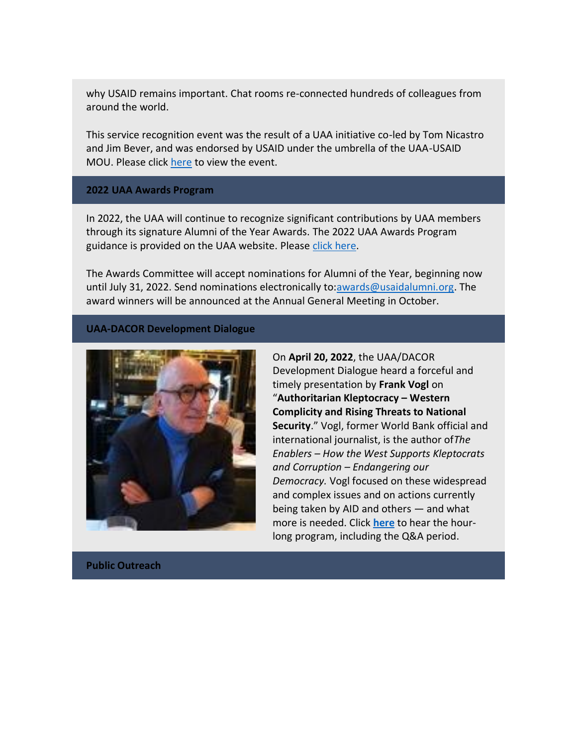why USAID remains important. Chat rooms re-connected hundreds of colleagues from around the world.

This service recognition event was the result of a UAA initiative co-led by Tom Nicastro and Jim Bever, and was endorsed by USAID under the umbrella of the UAA-USAID MOU. Please click [here](https://nam12.safelinks.protection.outlook.com/?url=https%3A%2F%2Fyoutu.be%2Fyyu8GPTfwX8&data=05%7C01%7C%7Cf4f90373a64740c6813008da2b8ee87f%7C84df9e7fe9f640afb435aaaaaaaaaaaa%7C1%7C0%7C637870190039086446%7CUnknown%7CTWFpbGZsb3d8eyJWIjoiMC4wLjAwMDAiLCJQIjoiV2luMzIiLCJBTiI6Ik1haWwiLCJXVCI6Mn0%3D%7C3000%7C%7C%7C&sdata=ATsQZfuAreSNIbzcdaJnW68FtC%2BxPOoW8M3Af66t0x0%3D&reserved=0) to view the event.

#### **2022 UAA Awards Program**

In 2022, the UAA will continue to recognize significant contributions by UAA members through its signature Alumni of the Year Awards. The 2022 UAA Awards Program guidance is provided on the UAA website. Please [click here.](https://nam12.safelinks.protection.outlook.com/?url=https%3A%2F%2Fusaidalumni.org%2Falumni-awards%2F&data=05%7C01%7C%7Cf4f90373a64740c6813008da2b8ee87f%7C84df9e7fe9f640afb435aaaaaaaaaaaa%7C1%7C0%7C637870190039086446%7CUnknown%7CTWFpbGZsb3d8eyJWIjoiMC4wLjAwMDAiLCJQIjoiV2luMzIiLCJBTiI6Ik1haWwiLCJXVCI6Mn0%3D%7C3000%7C%7C%7C&sdata=m8tUqrDiQ9RECuaca4NOJvOisbjFB3WWxTEn3IxrzuY%3D&reserved=0)

The Awards Committee will accept nominations for Alumni of the Year, beginning now until July 31, 2022. Send nominations electronically to[:awards@usaidalumni.org.](mailto:awards@usaidalumni.org) The award winners will be announced at the Annual General Meeting in October.

### **UAA-DACOR Development Dialogue**



On **April 20, 2022**, the UAA/DACOR Development Dialogue heard a forceful and timely presentation by **Frank Vogl** on "**Authoritarian Kleptocracy – Western Complicity and Rising Threats to National Security**." Vogl, former World Bank official and international journalist, is the author of*The Enablers – How the West Supports Kleptocrats and Corruption – Endangering our Democracy.* Vogl focused on these widespread and complex issues and on actions currently being taken by AID and others — and what more is needed. Click **[here](https://nam12.safelinks.protection.outlook.com/?url=https%3A%2F%2Fvimeo.com%2F701380615%2F4322053088&data=05%7C01%7C%7Cf4f90373a64740c6813008da2b8ee87f%7C84df9e7fe9f640afb435aaaaaaaaaaaa%7C1%7C0%7C637870190039086446%7CUnknown%7CTWFpbGZsb3d8eyJWIjoiMC4wLjAwMDAiLCJQIjoiV2luMzIiLCJBTiI6Ik1haWwiLCJXVCI6Mn0%3D%7C3000%7C%7C%7C&sdata=Z0hODURNBDDhN3Z23T8idYSf1Q74Tkaz5unHiG3aaek%3D&reserved=0)** to hear the hourlong program, including the Q&A period.

**Public Outreach**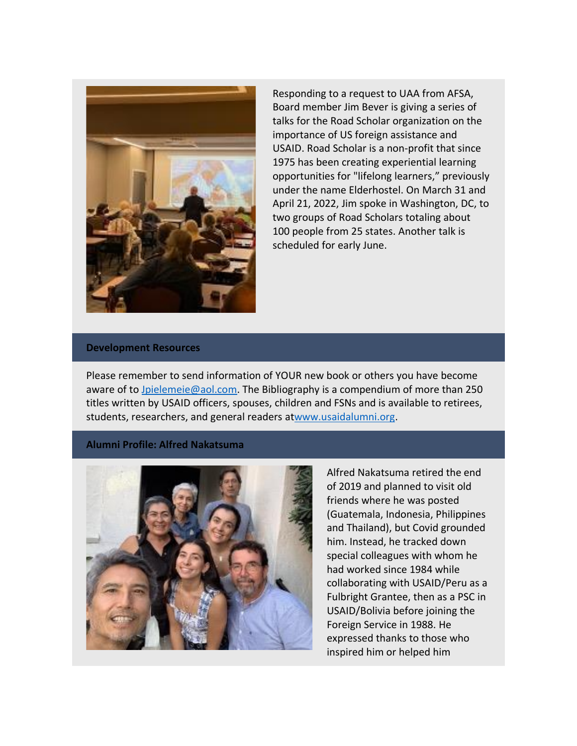

Responding to a request to UAA from AFSA, Board member Jim Bever is giving a series of talks for the Road Scholar organization on the importance of US foreign assistance and USAID. Road Scholar is a non-profit that since 1975 has been creating experiential learning opportunities for "lifelong learners," previously under the name Elderhostel. On March 31 and April 21, 2022, Jim spoke in Washington, DC, to two groups of Road Scholars totaling about 100 people from 25 states. Another talk is scheduled for early June.

#### **Development Resources**

Please remember to send information of YOUR new book or others you have become aware of to [Jpielemeie@aol.com.](mailto:Jpielemeie@aol.com) The Bibliography is a compendium of more than 250 titles written by USAID officers, spouses, children and FSNs and is available to retirees, students, researchers, and general readers a[twww.usaidalumni.org.](https://nam12.safelinks.protection.outlook.com/?url=http%3A%2F%2Fwww.usaidalumni.org%2F&data=05%7C01%7C%7Cf4f90373a64740c6813008da2b8ee87f%7C84df9e7fe9f640afb435aaaaaaaaaaaa%7C1%7C0%7C637870190039086446%7CUnknown%7CTWFpbGZsb3d8eyJWIjoiMC4wLjAwMDAiLCJQIjoiV2luMzIiLCJBTiI6Ik1haWwiLCJXVCI6Mn0%3D%7C3000%7C%7C%7C&sdata=pedy%2BSPtkmMcTZrlPBT9SyGea0xWIDyQCSenz4mf5k4%3D&reserved=0)

**Alumni Profile: Alfred Nakatsuma**



Alfred Nakatsuma retired the end of 2019 and planned to visit old friends where he was posted (Guatemala, Indonesia, Philippines and Thailand), but Covid grounded him. Instead, he tracked down special colleagues with whom he had worked since 1984 while collaborating with USAID/Peru as a Fulbright Grantee, then as a PSC in USAID/Bolivia before joining the Foreign Service in 1988. He expressed thanks to those who inspired him or helped him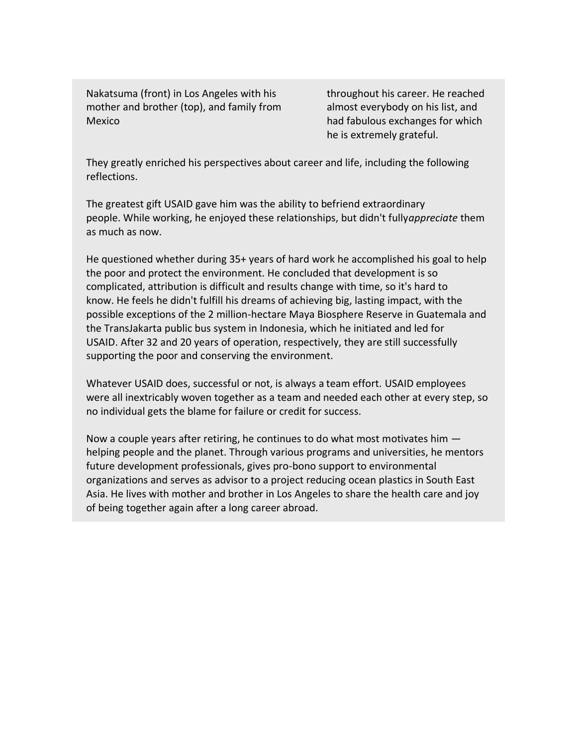Nakatsuma (front) in Los Angeles with his mother and brother (top), and family from Mexico

throughout his career. He reached almost everybody on his list, and had fabulous exchanges for which he is extremely grateful.

They greatly enriched his perspectives about career and life, including the following reflections.

The greatest gift USAID gave him was the ability to befriend extraordinary people. While working, he enjoyed these relationships, but didn't fully*appreciate* them as much as now.

He questioned whether during 35+ years of hard work he accomplished his goal to help the poor and protect the environment. He concluded that development is so complicated, attribution is difficult and results change with time, so it's hard to know. He feels he didn't fulfill his dreams of achieving big, lasting impact, with the possible exceptions of the 2 million-hectare Maya Biosphere Reserve in Guatemala and the TransJakarta public bus system in Indonesia, which he initiated and led for USAID. After 32 and 20 years of operation, respectively, they are still successfully supporting the poor and conserving the environment.

Whatever USAID does, successful or not, is always a team effort. USAID employees were all inextricably woven together as a team and needed each other at every step, so no individual gets the blame for failure or credit for success.

Now a couple years after retiring, he continues to do what most motivates him helping people and the planet. Through various programs and universities, he mentors future development professionals, gives pro-bono support to environmental organizations and serves as advisor to a project reducing ocean plastics in South East Asia. He lives with mother and brother in Los Angeles to share the health care and joy of being together again after a long career abroad.